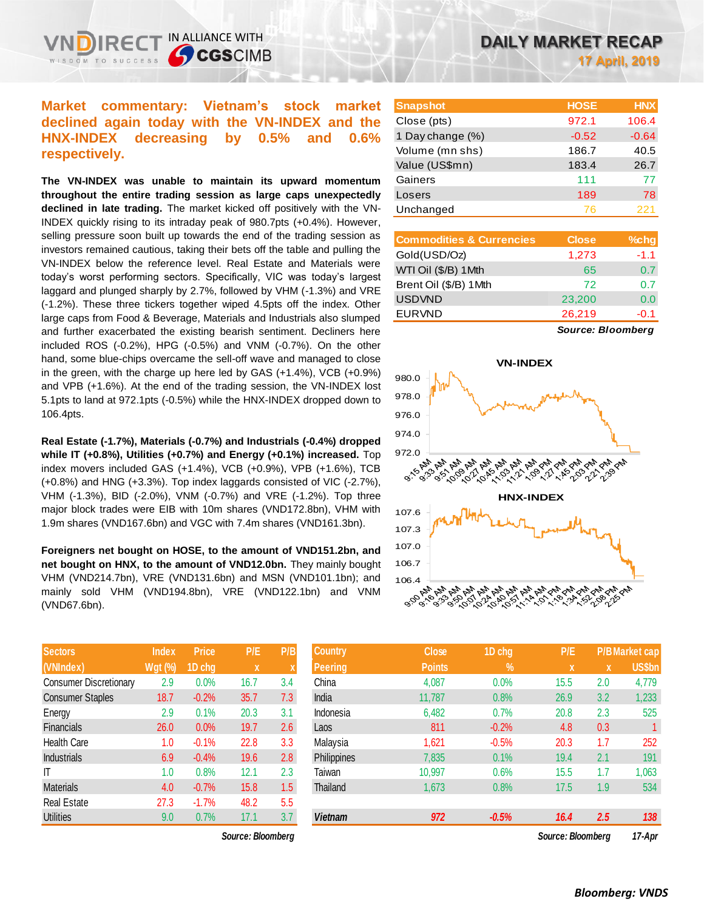## **Market commentary: Vietnam's stock market declined again today with the VN-INDEX and the HNX-INDEX decreasing by 0.5% and 0.6% respectively.**

IN ALLIANCE WITH

**SCGSCIMB** 

**The VN-INDEX was unable to maintain its upward momentum throughout the entire trading session as large caps unexpectedly declined in late trading.** The market kicked off positively with the VN-INDEX quickly rising to its intraday peak of 980.7pts (+0.4%). However, selling pressure soon built up towards the end of the trading session as investors remained cautious, taking their bets off the table and pulling the VN-INDEX below the reference level. Real Estate and Materials were today's worst performing sectors. Specifically, VIC was today's largest laggard and plunged sharply by 2.7%, followed by VHM (-1.3%) and VRE (-1.2%). These three tickers together wiped 4.5pts off the index. Other large caps from Food & Beverage, Materials and Industrials also slumped and further exacerbated the existing bearish sentiment. Decliners here included ROS (-0.2%), HPG (-0.5%) and VNM (-0.7%). On the other hand, some blue-chips overcame the sell-off wave and managed to close in the green, with the charge up here led by GAS (+1.4%), VCB (+0.9%) and VPB (+1.6%). At the end of the trading session, the VN-INDEX lost 5.1pts to land at 972.1pts (-0.5%) while the HNX-INDEX dropped down to 106.4pts.

**Real Estate (-1.7%), Materials (-0.7%) and Industrials (-0.4%) dropped while IT (+0.8%), Utilities (+0.7%) and Energy (+0.1%) increased.** Top index movers included GAS (+1.4%), VCB (+0.9%), VPB (+1.6%), TCB (+0.8%) and HNG (+3.3%). Top index laggards consisted of VIC (-2.7%), VHM (-1.3%), BID (-2.0%), VNM (-0.7%) and VRE (-1.2%). Top three major block trades were EIB with 10m shares (VND172.8bn), VHM with 1.9m shares (VND167.6bn) and VGC with 7.4m shares (VND161.3bn).

**Foreigners net bought on HOSE, to the amount of VND151.2bn, and net bought on HNX, to the amount of VND12.0bn.** They mainly bought VHM (VND214.7bn), VRE (VND131.6bn) and MSN (VND101.1bn); and mainly sold VHM (VND194.8bn), VRE (VND122.1bn) and VNM (VND67.6bn).

| <b>Sectors</b>                | <b>Index</b>   | <b>Price</b> | P/E  | P/B |
|-------------------------------|----------------|--------------|------|-----|
| (VNIndex)                     | <b>Wgt (%)</b> | 1D chg       | X    | X   |
| <b>Consumer Discretionary</b> | 2.9            | 0.0%         | 16.7 | 3.4 |
| <b>Consumer Staples</b>       | 18.7           | $-0.2%$      | 35.7 | 7.3 |
| Energy                        | 2.9            | 0.1%         | 20.3 | 3.1 |
| <b>Financials</b>             | 26.0           | 0.0%         | 19.7 | 2.6 |
| <b>Health Care</b>            | 1.0            | $-0.1%$      | 22.8 | 3.3 |
| <b>Industrials</b>            | 6.9            | $-0.4%$      | 19.6 | 2.8 |
| ΙT                            | 1.0            | 0.8%         | 12.1 | 2.3 |
| <b>Materials</b>              | 4.0            | $-0.7%$      | 15.8 | 1.5 |
| <b>Real Estate</b>            | 27.3           | $-1.7%$      | 48.2 | 5.5 |
| <b>Utilities</b>              | 9.0            | 0.7%         | 17.1 | 3.7 |

| <b>Snapshot</b>  | <b>HOSE</b> | <b>HNX</b> |
|------------------|-------------|------------|
| Close (pts)      | 972.1       | 106.4      |
| 1 Day change (%) | $-0.52$     | $-0.64$    |
| Volume (mn shs)  | 186.7       | 40.5       |
| Value (US\$mn)   | 183.4       | 26.7       |
| Gainers          | 111         | 77         |
| Losers           | 189         | 78         |
| Unchanged        | 76          | 221        |

| $%$ chg |
|---------|
| $-1.1$  |
| 0.7     |
| 0.7     |
| 0.0     |
| $-0.1$  |
|         |

*Source: Bloomberg*



| <b>Sectors</b>          | <b>Index</b>   | <b>Price</b> | P/E               | P/B | <b>Country</b> | <b>Close</b>  | 1D chg        | P/E               |     | <b>P/B Market cap</b> |
|-------------------------|----------------|--------------|-------------------|-----|----------------|---------------|---------------|-------------------|-----|-----------------------|
| (VNIndex)               | <b>Wgt (%)</b> | 1D chg       | $\mathbf{x}$      |     | <b>Peering</b> | <b>Points</b> | $\frac{9}{6}$ | $\mathbf{x}$      | X   | <b>US\$bn</b>         |
| Consumer Discretionary  | 2.9            | $0.0\%$      | 16.7              | 3.4 | China          | 4,087         | 0.0%          | 15.5              | 2.0 | 4,779                 |
| <b>Consumer Staples</b> | 18.7           | $-0.2%$      | 35.7              | 7.3 | India          | 11,787        | 0.8%          | 26.9              | 3.2 | 1,233                 |
| Energy                  | 2.9            | 0.1%         | 20.3              | 3.1 | Indonesia      | 6,482         | 0.7%          | 20.8              | 2.3 | 525                   |
| Financials              | 26.0           | 0.0%         | 19.7              | 2.6 | Laos           | 811           | $-0.2%$       | 4.8               | 0.3 |                       |
| Health Care             | 1.0            | $-0.1%$      | 22.8              | 3.3 | Malaysia       | 1,621         | $-0.5%$       | 20.3              | 1.7 | 252                   |
| <b>Industrials</b>      | 6.9            | $-0.4%$      | 19.6              | 2.8 | Philippines    | 7,835         | 0.1%          | 19.4              | 2.1 | 191                   |
| Τ                       | 1.0            | 0.8%         | 12.1              | 2.3 | Taiwan         | 10,997        | 0.6%          | 15.5              | 1.7 | 1,063                 |
| Materials               | 4.0            | $-0.7%$      | 15.8              | 1.5 | Thailand       | 1,673         | 0.8%          | 17.5              | 1.9 | 534                   |
| Real Estate             | 27.3           | $-1.7%$      | 48.2              | 5.5 |                |               |               |                   |     |                       |
| Utilities               | 9.0            | 0.7%         | 17.1              | 3.7 | <b>Vietnam</b> | 972           | $-0.5%$       | 16.4              | 2.5 | 138                   |
|                         |                |              | Source: Bloomberg |     |                |               |               | Source: Bloombera |     | 17-Apr                |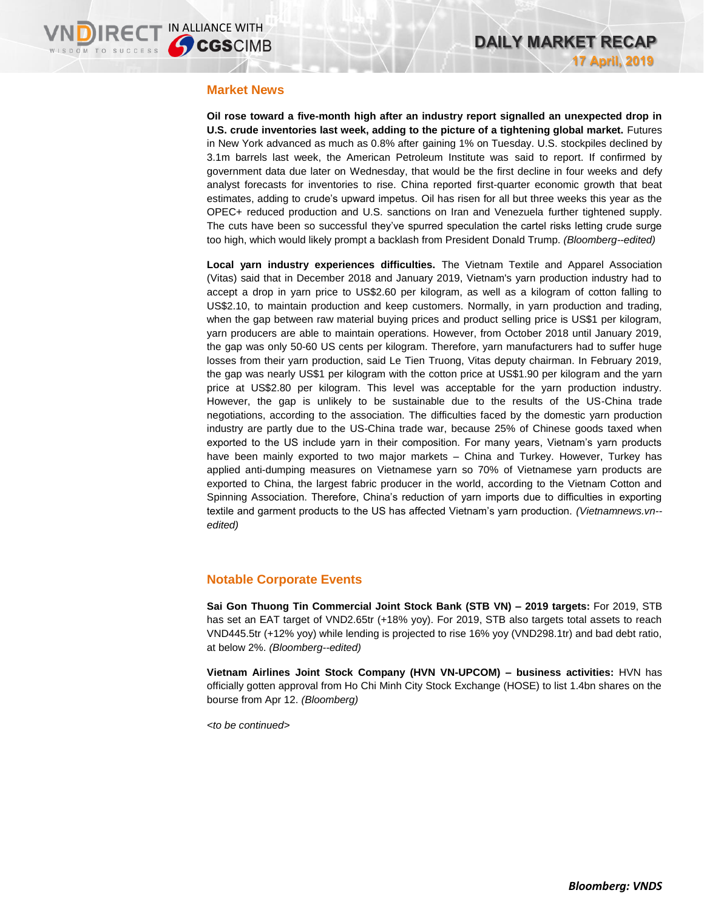#### **Market News**

**Oil rose toward a five-month high after an industry report signalled an unexpected drop in U.S. crude inventories last week, adding to the picture of a tightening global market.** Futures in New York advanced as much as 0.8% after gaining 1% on Tuesday. U.S. stockpiles declined by 3.1m barrels last week, the American Petroleum Institute was said to report. If confirmed by government data due later on Wednesday, that would be the first decline in four weeks and defy analyst forecasts for inventories to rise. China reported first-quarter economic growth that beat estimates, adding to crude's upward impetus. Oil has risen for all but three weeks this year as the OPEC+ reduced production and U.S. sanctions on Iran and Venezuela further tightened supply. The cuts have been so successful they've spurred speculation the cartel risks letting crude surge too high, which would likely prompt a backlash from President Donald Trump. *(Bloomberg--edited)*

**Local yarn industry experiences difficulties.** The Vietnam Textile and Apparel Association (Vitas) said that in December 2018 and January 2019, Vietnam's yarn production industry had to accept a drop in yarn price to US\$2.60 per kilogram, as well as a kilogram of cotton falling to US\$2.10, to maintain production and keep customers. Normally, in yarn production and trading, when the gap between raw material buying prices and product selling price is US\$1 per kilogram, yarn producers are able to maintain operations. However, from October 2018 until January 2019, the gap was only 50-60 US cents per kilogram. Therefore, yarn manufacturers had to suffer huge losses from their yarn production, said Le Tien Truong, Vitas deputy chairman. In February 2019, the gap was nearly US\$1 per kilogram with the cotton price at US\$1.90 per kilogram and the yarn price at US\$2.80 per kilogram. This level was acceptable for the yarn production industry. However, the gap is unlikely to be sustainable due to the results of the US-China trade negotiations, according to the association. The difficulties faced by the domestic yarn production industry are partly due to the US-China trade war, because 25% of Chinese goods taxed when exported to the US include yarn in their composition. For many years, Vietnam's yarn products have been mainly exported to two major markets – China and Turkey. However, Turkey has applied anti-dumping measures on Vietnamese yarn so 70% of Vietnamese yarn products are exported to China, the largest fabric producer in the world, according to the Vietnam Cotton and Spinning Association. Therefore, China's reduction of yarn imports due to difficulties in exporting textile and garment products to the US has affected Vietnam's yarn production. *(Vietnamnews.vn- edited)*

### **Notable Corporate Events**

**Sai Gon Thuong Tin Commercial Joint Stock Bank (STB VN) – 2019 targets:** For 2019, STB has set an EAT target of VND2.65tr (+18% yoy). For 2019, STB also targets total assets to reach VND445.5tr (+12% yoy) while lending is projected to rise 16% yoy (VND298.1tr) and bad debt ratio, at below 2%. *(Bloomberg--edited)*

**Vietnam Airlines Joint Stock Company (HVN VN-UPCOM) – business activities:** HVN has officially gotten approval from Ho Chi Minh City Stock Exchange (HOSE) to list 1.4bn shares on the bourse from Apr 12. *(Bloomberg)*

*<to be continued>*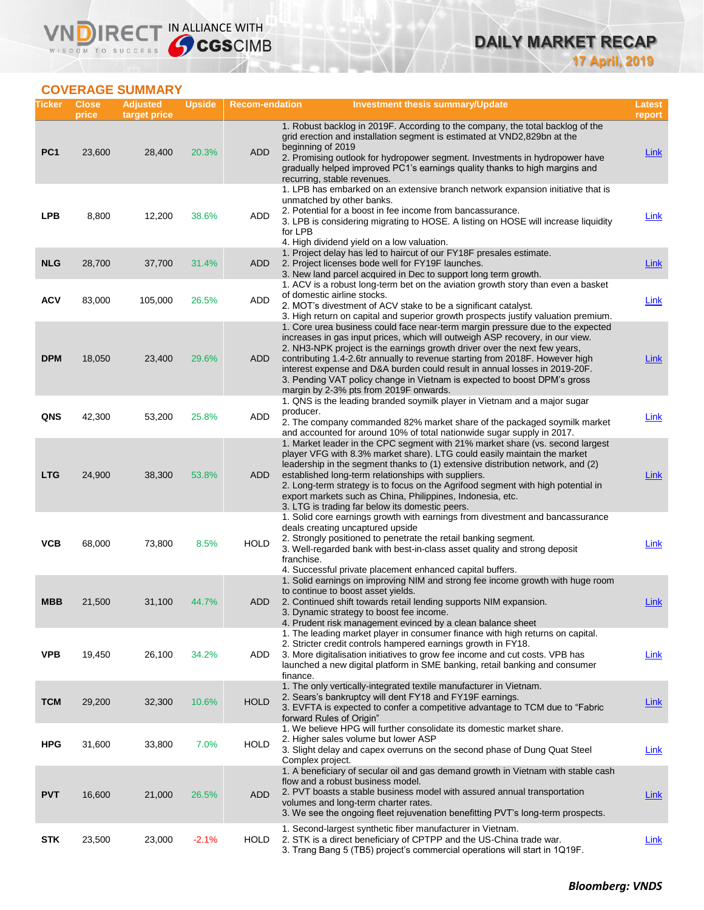**DAILY MARKET RECAP 17 April, 2019**

## **COVERAGE SUMMARY**

VND

| Ticker          | <b>Close</b><br>price | <b>Adjusted</b><br>target price | <b>Upside</b> | <b>Recom-endation</b> | <b>Investment thesis summary/Update</b>                                                                                                                                                                                                                                                                                                                                                                                                                                                                                          | Latest<br>report |
|-----------------|-----------------------|---------------------------------|---------------|-----------------------|----------------------------------------------------------------------------------------------------------------------------------------------------------------------------------------------------------------------------------------------------------------------------------------------------------------------------------------------------------------------------------------------------------------------------------------------------------------------------------------------------------------------------------|------------------|
| PC <sub>1</sub> | 23,600                | 28,400                          | 20.3%         | <b>ADD</b>            | 1. Robust backlog in 2019F. According to the company, the total backlog of the<br>grid erection and installation segment is estimated at VND2,829bn at the<br>beginning of 2019<br>2. Promising outlook for hydropower segment. Investments in hydropower have<br>gradually helped improved PC1's earnings quality thanks to high margins and<br>recurring, stable revenues.                                                                                                                                                     | Link             |
| <b>LPB</b>      | 8,800                 | 12,200                          | 38.6%         | ADD                   | 1. LPB has embarked on an extensive branch network expansion initiative that is<br>unmatched by other banks.<br>2. Potential for a boost in fee income from bancassurance.<br>3. LPB is considering migrating to HOSE. A listing on HOSE will increase liquidity<br>for LPB<br>4. High dividend yield on a low valuation.                                                                                                                                                                                                        | <b>Link</b>      |
| <b>NLG</b>      | 28,700                | 37,700                          | 31.4%         | <b>ADD</b>            | 1. Project delay has led to haircut of our FY18F presales estimate.<br>2. Project licenses bode well for FY19F launches.<br>3. New land parcel acquired in Dec to support long term growth.                                                                                                                                                                                                                                                                                                                                      | <b>Link</b>      |
| <b>ACV</b>      | 83,000                | 105,000                         | 26.5%         | ADD                   | 1. ACV is a robust long-term bet on the aviation growth story than even a basket<br>of domestic airline stocks.<br>2. MOT's divestment of ACV stake to be a significant catalyst.<br>3. High return on capital and superior growth prospects justify valuation premium.                                                                                                                                                                                                                                                          | Link             |
| <b>DPM</b>      | 18,050                | 23,400                          | 29.6%         | ADD                   | 1. Core urea business could face near-term margin pressure due to the expected<br>increases in gas input prices, which will outweigh ASP recovery, in our view.<br>2. NH3-NPK project is the earnings growth driver over the next few years,<br>contributing 1.4-2.6tr annually to revenue starting from 2018F. However high<br>interest expense and D&A burden could result in annual losses in 2019-20F.<br>3. Pending VAT policy change in Vietnam is expected to boost DPM's gross<br>margin by 2-3% pts from 2019F onwards. | Link             |
| QNS             | 42,300                | 53,200                          | 25.8%         | <b>ADD</b>            | 1. QNS is the leading branded soymilk player in Vietnam and a major sugar<br>producer.<br>2. The company commanded 82% market share of the packaged soymilk market<br>and accounted for around 10% of total nationwide sugar supply in 2017.                                                                                                                                                                                                                                                                                     | Link             |
| <b>LTG</b>      | 24,900                | 38,300                          | 53.8%         | <b>ADD</b>            | 1. Market leader in the CPC segment with 21% market share (vs. second largest<br>player VFG with 8.3% market share). LTG could easily maintain the market<br>leadership in the segment thanks to (1) extensive distribution network, and (2)<br>established long-term relationships with suppliers.<br>2. Long-term strategy is to focus on the Agrifood segment with high potential in<br>export markets such as China, Philippines, Indonesia, etc.<br>3. LTG is trading far below its domestic peers.                         | <b>Link</b>      |
| <b>VCB</b>      | 68,000                | 73,800                          | 8.5%          | HOLD                  | 1. Solid core earnings growth with earnings from divestment and bancassurance<br>deals creating uncaptured upside<br>2. Strongly positioned to penetrate the retail banking segment.<br>3. Well-regarded bank with best-in-class asset quality and strong deposit<br>franchise.<br>4. Successful private placement enhanced capital buffers.                                                                                                                                                                                     | Link             |
| <b>MBB</b>      | 21,500                | 31,100                          | 44.7%         | ADD                   | 1. Solid earnings on improving NIM and strong fee income growth with huge room<br>to continue to boost asset yields.<br>2. Continued shift towards retail lending supports NIM expansion.<br>3. Dynamic strategy to boost fee income.<br>4. Prudent risk management evinced by a clean balance sheet                                                                                                                                                                                                                             | Link             |
| <b>VPB</b>      | 19,450                | 26,100                          | 34.2%         | ADD                   | 1. The leading market player in consumer finance with high returns on capital.<br>2. Stricter credit controls hampered earnings growth in FY18.<br>3. More digitalisation initiatives to grow fee income and cut costs. VPB has<br>launched a new digital platform in SME banking, retail banking and consumer<br>finance.                                                                                                                                                                                                       | <b>Link</b>      |
| <b>TCM</b>      | 29,200                | 32,300                          | 10.6%         | <b>HOLD</b>           | 1. The only vertically-integrated textile manufacturer in Vietnam.<br>2. Sears's bankruptcy will dent FY18 and FY19F earnings.<br>3. EVFTA is expected to confer a competitive advantage to TCM due to "Fabric"<br>forward Rules of Origin"                                                                                                                                                                                                                                                                                      | <b>Link</b>      |
| <b>HPG</b>      | 31,600                | 33,800                          | 7.0%          | <b>HOLD</b>           | 1. We believe HPG will further consolidate its domestic market share.<br>2. Higher sales volume but lower ASP<br>3. Slight delay and capex overruns on the second phase of Dung Quat Steel<br>Complex project.                                                                                                                                                                                                                                                                                                                   | Link             |
| <b>PVT</b>      | 16,600                | 21,000                          | 26.5%         | <b>ADD</b>            | 1. A beneficiary of secular oil and gas demand growth in Vietnam with stable cash<br>flow and a robust business model.<br>2. PVT boasts a stable business model with assured annual transportation<br>volumes and long-term charter rates.<br>3. We see the ongoing fleet rejuvenation benefitting PVT's long-term prospects.                                                                                                                                                                                                    | <b>Link</b>      |
| <b>STK</b>      | 23,500                | 23,000                          | $-2.1%$       | <b>HOLD</b>           | 1. Second-largest synthetic fiber manufacturer in Vietnam.<br>2. STK is a direct beneficiary of CPTPP and the US-China trade war.<br>3. Trang Bang 5 (TB5) project's commercial operations will start in 1Q19F.                                                                                                                                                                                                                                                                                                                  | <b>Link</b>      |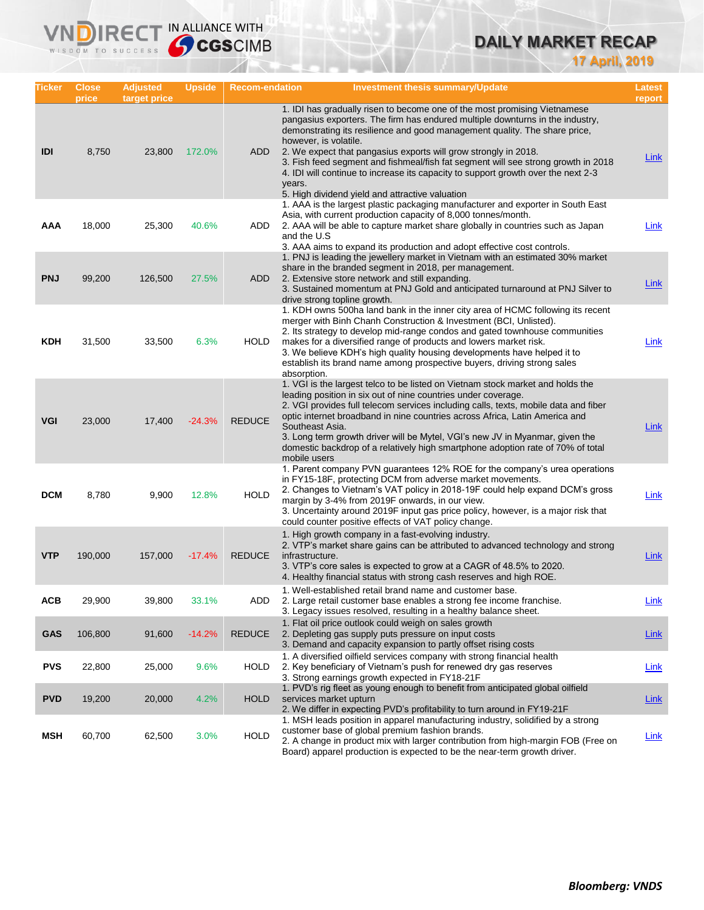# **DAILY MARKET RECAP**

**17 April, 2019**

| Ticker     | <b>Close</b><br>price | <b>Adjusted</b><br>target price | <b>Upside</b> | <b>Recom-endation</b> | <b>Investment thesis summary/Update</b>                                                                                                                                                                                                                                                                                                                                                                                                                                                                                                                                     | Latest<br>report |
|------------|-----------------------|---------------------------------|---------------|-----------------------|-----------------------------------------------------------------------------------------------------------------------------------------------------------------------------------------------------------------------------------------------------------------------------------------------------------------------------------------------------------------------------------------------------------------------------------------------------------------------------------------------------------------------------------------------------------------------------|------------------|
| IDI        | 8,750                 | 23,800                          | 172.0%        | ADD                   | 1. IDI has gradually risen to become one of the most promising Vietnamese<br>pangasius exporters. The firm has endured multiple downturns in the industry,<br>demonstrating its resilience and good management quality. The share price,<br>however, is volatile.<br>2. We expect that pangasius exports will grow strongly in 2018.<br>3. Fish feed segment and fishmeal/fish fat segment will see strong growth in 2018<br>4. IDI will continue to increase its capacity to support growth over the next 2-3<br>years.<br>5. High dividend yield and attractive valuation | Link             |
| AAA        | 18,000                | 25,300                          | 40.6%         | ADD                   | 1. AAA is the largest plastic packaging manufacturer and exporter in South East<br>Asia, with current production capacity of 8,000 tonnes/month.<br>2. AAA will be able to capture market share globally in countries such as Japan<br>and the U.S<br>3. AAA aims to expand its production and adopt effective cost controls.                                                                                                                                                                                                                                               | <b>Link</b>      |
| <b>PNJ</b> | 99,200                | 126,500                         | 27.5%         | ADD.                  | 1. PNJ is leading the jewellery market in Vietnam with an estimated 30% market<br>share in the branded segment in 2018, per management.<br>2. Extensive store network and still expanding.<br>3. Sustained momentum at PNJ Gold and anticipated turnaround at PNJ Silver to<br>drive strong topline growth.                                                                                                                                                                                                                                                                 | <b>Link</b>      |
| <b>KDH</b> | 31,500                | 33,500                          | 6.3%          | <b>HOLD</b>           | 1. KDH owns 500ha land bank in the inner city area of HCMC following its recent<br>merger with Binh Chanh Construction & Investment (BCI, Unlisted).<br>2. Its strategy to develop mid-range condos and gated townhouse communities<br>makes for a diversified range of products and lowers market risk.<br>3. We believe KDH's high quality housing developments have helped it to<br>establish its brand name among prospective buyers, driving strong sales<br>absorption.                                                                                               | Link             |
| <b>VGI</b> | 23,000                | 17,400                          | $-24.3%$      | <b>REDUCE</b>         | 1. VGI is the largest telco to be listed on Vietnam stock market and holds the<br>leading position in six out of nine countries under coverage.<br>2. VGI provides full telecom services including calls, texts, mobile data and fiber<br>optic internet broadband in nine countries across Africa, Latin America and<br>Southeast Asia.<br>3. Long term growth driver will be Mytel, VGI's new JV in Myanmar, given the<br>domestic backdrop of a relatively high smartphone adoption rate of 70% of total<br>mobile users                                                 | Link             |
| <b>DCM</b> | 8,780                 | 9,900                           | 12.8%         | <b>HOLD</b>           | 1. Parent company PVN guarantees 12% ROE for the company's urea operations<br>in FY15-18F, protecting DCM from adverse market movements.<br>2. Changes to Vietnam's VAT policy in 2018-19F could help expand DCM's gross<br>margin by 3-4% from 2019F onwards, in our view.<br>3. Uncertainty around 2019F input gas price policy, however, is a major risk that<br>could counter positive effects of VAT policy change.                                                                                                                                                    | Link             |
| <b>VTP</b> | 190,000               | 157,000                         | $-17.4%$      | <b>REDUCE</b>         | 1. High growth company in a fast-evolving industry.<br>2. VTP's market share gains can be attributed to advanced technology and strong<br>infrastructure.<br>3. VTP's core sales is expected to grow at a CAGR of 48.5% to 2020.<br>4. Healthy financial status with strong cash reserves and high ROE.                                                                                                                                                                                                                                                                     | <b>Link</b>      |
| ACB        | 29,900                | 39,800                          | 33.1%         | ADD                   | 1. Well-established retail brand name and customer base.<br>2. Large retail customer base enables a strong fee income franchise.<br>3. Legacy issues resolved, resulting in a healthy balance sheet.                                                                                                                                                                                                                                                                                                                                                                        | <b>Link</b>      |
| <b>GAS</b> | 106,800               | 91,600                          | $-14.2%$      | <b>REDUCE</b>         | 1. Flat oil price outlook could weigh on sales growth<br>2. Depleting gas supply puts pressure on input costs<br>3. Demand and capacity expansion to partly offset rising costs                                                                                                                                                                                                                                                                                                                                                                                             | <b>Link</b>      |
| <b>PVS</b> | 22,800                | 25,000                          | 9.6%          | <b>HOLD</b>           | 1. A diversified oilfield services company with strong financial health<br>2. Key beneficiary of Vietnam's push for renewed dry gas reserves<br>3. Strong earnings growth expected in FY18-21F                                                                                                                                                                                                                                                                                                                                                                              | Link             |
| <b>PVD</b> | 19,200                | 20,000                          | 4.2%          | <b>HOLD</b>           | 1. PVD's rig fleet as young enough to benefit from anticipated global oilfield<br>services market upturn<br>2. We differ in expecting PVD's profitability to turn around in FY19-21F                                                                                                                                                                                                                                                                                                                                                                                        | <b>Link</b>      |
| <b>MSH</b> | 60,700                | 62,500                          | 3.0%          | <b>HOLD</b>           | 1. MSH leads position in apparel manufacturing industry, solidified by a strong<br>customer base of global premium fashion brands.<br>2. A change in product mix with larger contribution from high-margin FOB (Free on<br>Board) apparel production is expected to be the near-term growth driver.                                                                                                                                                                                                                                                                         | <b>Link</b>      |

**VNDIRECT IN ALLIANCE WITH**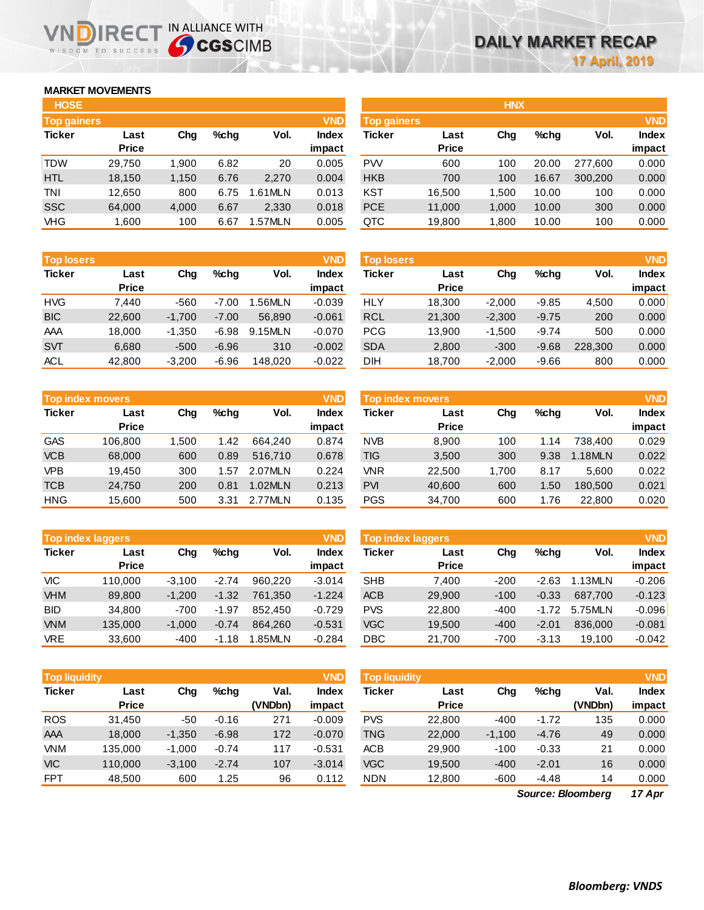## **MARKET MOVEMENTS**

WISDOM TO SUCCESS

תו

| <b>HOSE</b>        |              |       |      |         |              |
|--------------------|--------------|-------|------|---------|--------------|
| <b>Top gainers</b> |              |       |      |         | <b>VND</b>   |
| <b>Ticker</b>      | Last         | Cha   | %chq | Vol.    | <b>Index</b> |
|                    | <b>Price</b> |       |      |         | impact       |
| <b>TDW</b>         | 29,750       | 1,900 | 6.82 | 20      | 0.005        |
| <b>HTL</b>         | 18,150       | 1,150 | 6.76 | 2,270   | 0.004        |
| TNI                | 12,650       | 800   | 6.75 | 1.61MLN | 0.013        |
| <b>SSC</b>         | 64,000       | 4,000 | 6.67 | 2,330   | 0.018        |
| <b>VHG</b>         | 1,600        | 100   | 6.67 | 1.57MLN | 0.005        |

IRECT IN ALLIANCE WITH

| <b>Top losers</b> |              |          |         |         | <b>VND</b>   |
|-------------------|--------------|----------|---------|---------|--------------|
| <b>Ticker</b>     | Last         | Cha      | %chq    | Vol.    | <b>Index</b> |
|                   | <b>Price</b> |          |         |         | impact       |
| <b>HVG</b>        | 7.440        | -560     | $-7.00$ | 1.56MLN | $-0.039$     |
| <b>BIC</b>        | 22,600       | $-1,700$ | $-7.00$ | 56.890  | $-0.061$     |
| AAA               | 18,000       | $-1,350$ | $-6.98$ | 9.15MLN | $-0.070$     |
| <b>SVT</b>        | 6,680        | $-500$   | $-6.96$ | 310     | $-0.002$     |
| <b>ACL</b>        | 42,800       | $-3,200$ | $-6.96$ | 148.020 | $-0.022$     |

| <b>Top index movers</b> |              |       |         |         |              |  |  |  |  |
|-------------------------|--------------|-------|---------|---------|--------------|--|--|--|--|
| <b>Ticker</b>           | Last         | Cha   | $%$ chq | Vol.    | <b>Index</b> |  |  |  |  |
|                         | <b>Price</b> |       |         |         | impact       |  |  |  |  |
| <b>GAS</b>              | 106,800      | 1,500 | 1.42    | 664.240 | 0.874        |  |  |  |  |
| <b>VCB</b>              | 68,000       | 600   | 0.89    | 516,710 | 0.678        |  |  |  |  |
| <b>VPB</b>              | 19.450       | 300   | 1.57    | 2.07MLN | 0.224        |  |  |  |  |
| <b>TCB</b>              | 24,750       | 200   | 0.81    | 1.02MLN | 0.213        |  |  |  |  |
| <b>HNG</b>              | 15,600       | 500   | 3.31    | 2.77MLN | 0.135        |  |  |  |  |

| <b>VND</b><br><b>Top index laggers</b> |              |          |         |         |              |  |  |  |  |
|----------------------------------------|--------------|----------|---------|---------|--------------|--|--|--|--|
| <b>Ticker</b>                          | Last         | Cha      | %chq    | Vol.    | <b>Index</b> |  |  |  |  |
|                                        | <b>Price</b> |          |         |         | impact       |  |  |  |  |
| VIC                                    | 110,000      | $-3,100$ | $-2.74$ | 960.220 | $-3.014$     |  |  |  |  |
| <b>VHM</b>                             | 89,800       | $-1,200$ | $-1.32$ | 761,350 | $-1.224$     |  |  |  |  |
| <b>BID</b>                             | 34,800       | $-700$   | $-1.97$ | 852,450 | $-0.729$     |  |  |  |  |
| <b>VNM</b>                             | 135,000      | $-1,000$ | $-0.74$ | 864.260 | $-0.531$     |  |  |  |  |
| <b>VRE</b>                             | 33,600       | $-400$   | $-1.18$ | 1.85MLN | $-0.284$     |  |  |  |  |

| <b>VND</b><br><b>Top liquidity</b> |              |          |         |         |              |  |  |  |  |
|------------------------------------|--------------|----------|---------|---------|--------------|--|--|--|--|
| <b>Ticker</b>                      | Last         | Cha      | %chq    | Val.    | <b>Index</b> |  |  |  |  |
|                                    | <b>Price</b> |          |         | (VNDbn) | impact       |  |  |  |  |
| <b>ROS</b>                         | 31,450       | -50      | $-0.16$ | 271     | $-0.009$     |  |  |  |  |
| AAA                                | 18,000       | $-1,350$ | $-6.98$ | 172     | $-0.070$     |  |  |  |  |
| VNM                                | 135,000      | $-1,000$ | $-0.74$ | 117     | $-0.531$     |  |  |  |  |
| <b>VIC</b>                         | 110,000      | $-3,100$ | $-2.74$ | 107     | $-3.014$     |  |  |  |  |
| <b>FPT</b>                         | 48.500       | 600      | 1.25    | 96      | 0.112        |  |  |  |  |

| <b>HOSE</b>        |              |       |         |         |              |                    |              | <b>HNX</b> |         |         |              |
|--------------------|--------------|-------|---------|---------|--------------|--------------------|--------------|------------|---------|---------|--------------|
| <b>Top gainers</b> |              |       |         |         | <b>VND</b>   | <b>Top gainers</b> |              |            |         |         | <b>VND</b>   |
| Ticker             | Last         | Chg   | $%$ chq | Vol.    | <b>Index</b> | Ticker             | Last         | Chg        | $%$ chq | Vol.    | <b>Index</b> |
|                    | <b>Price</b> |       |         |         | impact       |                    | <b>Price</b> |            |         |         | impact       |
| TDW                | 29,750       | 1.900 | 6.82    | 20      | 0.005        | <b>PW</b>          | 600          | 100        | 20.00   | 277.600 | 0.000        |
| <b>HTL</b>         | 18,150       | 1.150 | 6.76    | 2,270   | 0.004        | <b>HKB</b>         | 700          | 100        | 16.67   | 300,200 | 0.000        |
| TNI                | 12,650       | 800   | 6.75    | 1.61MLN | 0.013        | <b>KST</b>         | 16.500       | 1.500      | 10.00   | 100     | 0.000        |
| SSC                | 64,000       | 4,000 | 6.67    | 2,330   | 0.018        | <b>PCE</b>         | 11,000       | 1,000      | 10.00   | 300     | 0.000        |
| VHG                | 1.600        | 100   | 6.67    | 1.57MLN | 0.005        | QTC                | 19,800       | 1.800      | 10.00   | 100     | 0.000        |

| <b>Top losers</b> |                      |          |         |         | <b>VND</b>      | <b>Top losers</b> |                      |          |         |         | <b>VND</b>             |
|-------------------|----------------------|----------|---------|---------|-----------------|-------------------|----------------------|----------|---------|---------|------------------------|
| Ticker            | Last<br><b>Price</b> | Chg      | %chq    | Vol.    | Index<br>impact | Ticker            | Last<br><b>Price</b> | Chg      | $%$ chq | Vol.    | <b>Index</b><br>impact |
| HVG               | 7.440                | $-560$   | $-7.00$ | 1.56MLN | $-0.039$        | HLY               | 18,300               | $-2.000$ | $-9.85$ | 4,500   | 0.000                  |
| <b>BIC</b>        | 22,600               | $-1.700$ | $-7.00$ | 56,890  | $-0.061$        | <b>RCL</b>        | 21,300               | $-2,300$ | $-9.75$ | 200     | 0.000                  |
| AAA               | 18,000               | $-1,350$ | $-6.98$ | 9.15MLN | $-0.070$        | <b>PCG</b>        | 13,900               | $-1.500$ | $-9.74$ | 500     | 0.000                  |
| <b>SVT</b>        | 6,680                | $-500$   | $-6.96$ | 310     | $-0.002$        | <b>SDA</b>        | 2,800                | $-300$   | $-9.68$ | 228,300 | 0.000                  |
| ACL               | 42,800               | $-3,200$ | $-6.96$ | 148,020 | $-0.022$        | DIH               | 18,700               | $-2,000$ | $-9.66$ | 800     | 0.000                  |

|            | <b>VND</b><br>Top index movers |       |      |         |        |            | <b>Top index movers</b> |       |         |           |              |  |
|------------|--------------------------------|-------|------|---------|--------|------------|-------------------------|-------|---------|-----------|--------------|--|
| Ticker     | Last                           | Chg   | %chq | Vol.    | Index  | Ticker     | Last                    | Chg   | $%$ chq | Vol.      | <b>Index</b> |  |
|            | <b>Price</b>                   |       |      |         | impact |            | <b>Price</b>            |       |         |           | impact       |  |
| GAS        | 106.800                        | 1.500 | 1.42 | 664.240 | 0.874  | <b>NVB</b> | 8,900                   | 100   | 1.14    | 738.400   | 0.029        |  |
| <b>VCB</b> | 68,000                         | 600   | 0.89 | 516,710 | 0.678  | TIG        | 3,500                   | 300   | 9.38    | $.18$ MLN | 0.022        |  |
| <b>VPB</b> | 19.450                         | 300   | 1.57 | 2.07MLN | 0.224  | <b>VNR</b> | 22.500                  | 1.700 | 8.17    | 5.600     | 0.022        |  |
| TCB        | 24.750                         | 200   | 0.81 | 1.02MLN | 0.213  | <b>PVI</b> | 40.600                  | 600   | 1.50    | 180,500   | 0.021        |  |
| HNG        | 15.600                         | 500   | 3.31 | 2.77MLN | 0.135  | <b>PGS</b> | 34,700                  | 600   | 1.76    | 22,800    | 0.020        |  |

|            | <b>Top index laggers</b> |          |         |         | <b>VND</b>   | <b>Top index laggers</b> |              |        |         |         |              |
|------------|--------------------------|----------|---------|---------|--------------|--------------------------|--------------|--------|---------|---------|--------------|
| Ticker     | Last                     | Chg      | %chq    | Vol.    | <b>Index</b> | Ticker                   | Last         | Chg    | $%$ chq | Vol.    | <b>Index</b> |
|            | <b>Price</b>             |          |         |         | impact       |                          | <b>Price</b> |        |         |         | impact       |
| VIC        | 110.000                  | $-3.100$ | $-2.74$ | 960.220 | $-3.014$     | <b>SHB</b>               | 7.400        | $-200$ | $-2.63$ | .13MLN  | $-0.206$     |
| <b>VHM</b> | 89,800                   | $-1.200$ | $-1.32$ | 761.350 | $-1.224$     | <b>ACB</b>               | 29,900       | $-100$ | $-0.33$ | 687.700 | $-0.123$     |
| BID        | 34.800                   | $-700$   | $-1.97$ | 852.450 | $-0.729$     | <b>PVS</b>               | 22,800       | $-400$ | $-1.72$ | 5.75MLN | $-0.096$     |
| <b>VNM</b> | 135,000                  | $-1.000$ | $-0.74$ | 864.260 | $-0.531$     | <b>VGC</b>               | 19,500       | $-400$ | $-2.01$ | 836,000 | $-0.081$     |
| <b>VRE</b> | 33,600                   | $-400$   | $-1.18$ | 1.85MLN | $-0.284$     | DBC                      | 21,700       | $-700$ | $-3.13$ | 19.100  | $-0.042$     |

| <b>Top liquidity</b> |              |          |         |         | VND          | <b>Top liquidity</b> |              |          |         |                   | <b>VND</b>   |
|----------------------|--------------|----------|---------|---------|--------------|----------------------|--------------|----------|---------|-------------------|--------------|
| Ticker               | Last         | Chg      | %chq    | Val.    | <b>Index</b> | Ticker               | Last         | Chg      | $%$ chq | Val.              | <b>Index</b> |
|                      | <b>Price</b> |          |         | (VNDbn) | impact       |                      | <b>Price</b> |          |         | (VNDbn)           | impact       |
| <b>ROS</b>           | 31.450       | -50      | $-0.16$ | 271     | $-0.009$     | <b>PVS</b>           | 22,800       | $-400$   | $-1.72$ | 135               | 0.000        |
| AAA                  | 18,000       | $-1,350$ | $-6.98$ | 172     | $-0.070$     | <b>TNG</b>           | 22,000       | $-1,100$ | $-4.76$ | 49                | 0.000        |
| <b>VNM</b>           | 135,000      | $-1.000$ | $-0.74$ | 117     | $-0.531$     | ACB                  | 29,900       | $-100$   | $-0.33$ | 21                | 0.000        |
| <b>VIC</b>           | 110,000      | $-3,100$ | $-2.74$ | 107     | $-3.014$     | <b>VGC</b>           | 19,500       | $-400$   | $-2.01$ | 16                | 0.000        |
| <b>FPT</b>           | 48,500       | 600      | 1.25    | 96      | 0.112        | <b>NDN</b>           | 12,800       | $-600$   | $-4.48$ | 14                | 0.000        |
|                      |              |          |         |         |              |                      |              |          |         | Source: Bloomberg | $17$ Apr     |

*17 Apr Source: Bloomberg*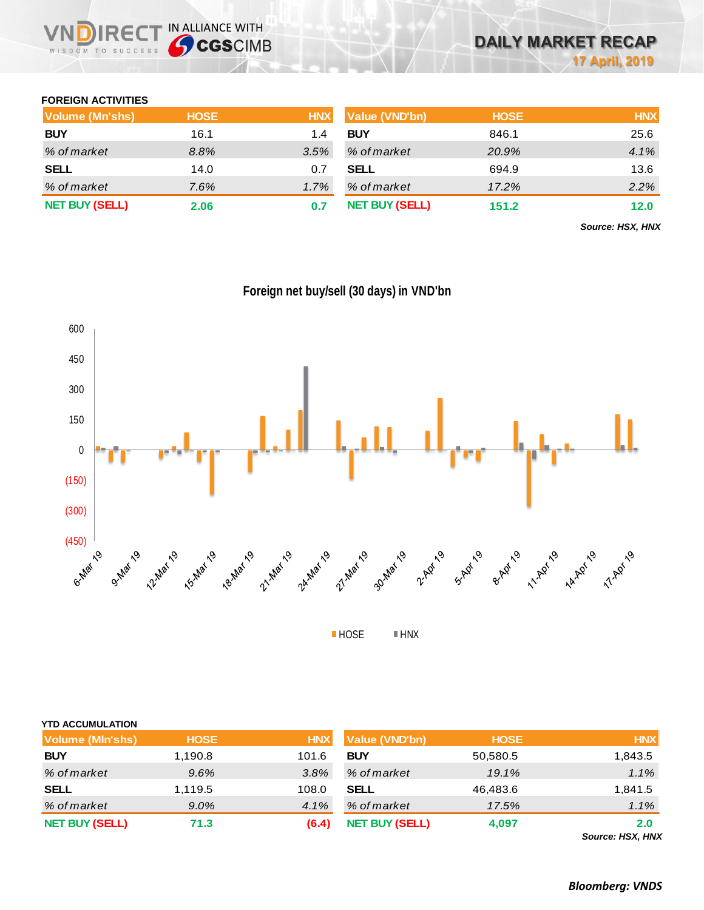## **FOREIGN ACTIVITIES**

WISDOM TO SUCCESS

| Volume (Mn'shs)       | <b>HOSE</b> | <b>HNX</b> | <b>Value (VND'bn)</b> | <b>HOSE</b> | <b>HNX</b> |
|-----------------------|-------------|------------|-----------------------|-------------|------------|
| <b>BUY</b>            | 16.1        | 1.4        | <b>BUY</b>            | 846.1       | 25.6       |
| % of market           | 8.8%        | 3.5%       | % of market           | 20.9%       | 4.1%       |
| <b>SELL</b>           | 14.0        | 0.7        | <b>SELL</b>           | 694.9       | 13.6       |
| % of market           | 7.6%        | 1.7%       | % of market           | 17.2%       | 2.2%       |
| <b>NET BUY (SELL)</b> | 2.06        |            | <b>NET BUY (SELL)</b> | 151.2       | 12.0       |

*Source: HSX, HNX*



**Foreign net buy/sell (30 days) in VND'bn**

| <b>YTD ACCUMULATION</b> |             |            |                       |             |            |
|-------------------------|-------------|------------|-----------------------|-------------|------------|
| Volume (MIn'shs)        | <b>HOSE</b> | <b>HNX</b> | <b>Value (VND'bn)</b> | <b>HOSE</b> | <b>HNX</b> |
| <b>BUY</b>              | 1,190.8     | 101.6      | <b>BUY</b>            | 50,580.5    | 1,843.5    |
| % of market             | 9.6%        | $3.8\%$    | % of market           | 19.1%       | $1.1\%$    |
| <b>SELL</b>             | 1,119.5     | 108.0      | <b>SELL</b>           | 46,483.6    | 1,841.5    |
| % of market             | $9.0\%$     | 4.1%       | % of market           | 17.5%       | 1.1%       |
| <b>NET BUY (SELL)</b>   | 71.3        | (6.4)      | <b>NET BUY (SELL)</b> | 4,097       | 2.0<br>.   |

*Source: HSX, HNX*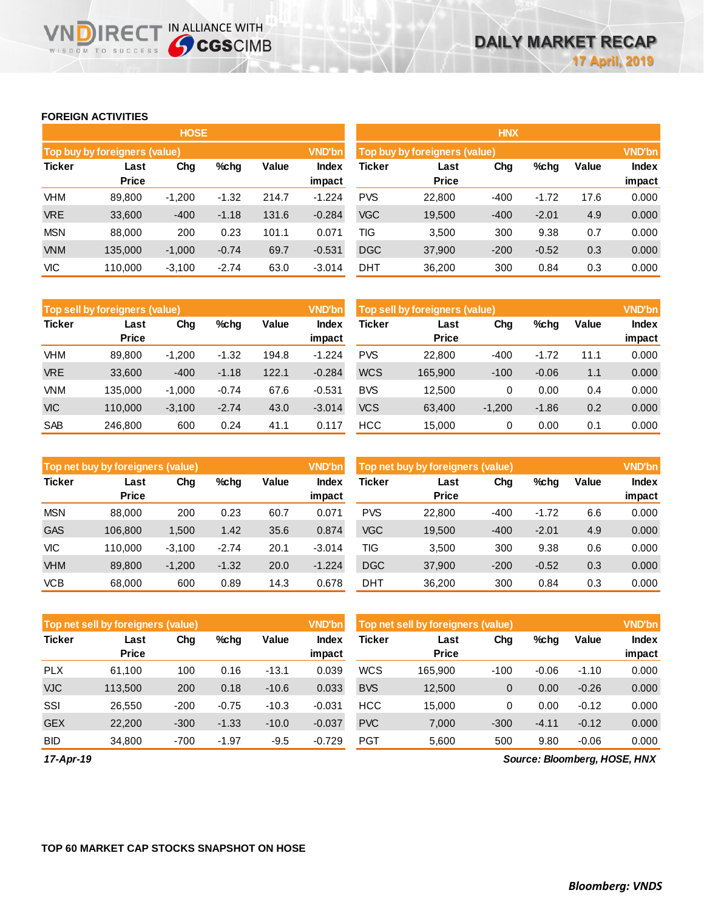## **FOREIGN ACTIVITIES**

WISDOM TO SUCCESS

**VNDIRECT IN ALLIANCE WITH** 

|               |                               | <b>HOSE</b>             |         |       |               | <b>HNX</b>                                     |                      |        |         |       |                 |  |
|---------------|-------------------------------|-------------------------|---------|-------|---------------|------------------------------------------------|----------------------|--------|---------|-------|-----------------|--|
|               | Top buy by foreigners (value) |                         |         |       | <b>VND'bn</b> | <b>VND'bn</b><br>Top buy by foreigners (value) |                      |        |         |       |                 |  |
| <b>Ticker</b> | Last<br><b>Price</b>          | Value<br>Chg<br>$%$ chg |         |       |               | Ticker                                         | Last<br><b>Price</b> | Chg    | %chg    | Value | Index<br>impact |  |
| <b>VHM</b>    | 89.800                        | $-1,200$                | $-1.32$ | 214.7 | $-1.224$      | <b>PVS</b>                                     | 22,800               | $-400$ | $-1.72$ | 17.6  | 0.000           |  |
| <b>VRE</b>    | 33,600                        | $-400$                  | $-1.18$ | 131.6 | $-0.284$      | <b>VGC</b>                                     | 19,500               | $-400$ | $-2.01$ | 4.9   | 0.000           |  |
| <b>MSN</b>    | 88,000                        | 200                     | 0.23    | 101.1 | 0.071         | TIG                                            | 3,500                | 300    | 9.38    | 0.7   | 0.000           |  |
| <b>VNM</b>    | 135.000                       | $-1,000$                | $-0.74$ | 69.7  | $-0.531$      | <b>DGC</b>                                     | 37,900               | $-200$ | $-0.52$ | 0.3   | 0.000           |  |
| VIC           | 110.000                       | $-3,100$                | $-2.74$ | 63.0  | $-3.014$      | <b>DHT</b>                                     | 36,200               | 300    | 0.84    | 0.3   | 0.000           |  |

|               | Top sell by foreigners (value) |          |         |       | <b>VND'bn</b>          | Top sell by foreigners (value) |                      | <b>VND'bn</b> |         |       |                        |
|---------------|--------------------------------|----------|---------|-------|------------------------|--------------------------------|----------------------|---------------|---------|-------|------------------------|
| <b>Ticker</b> | Last<br><b>Price</b>           | Chg      | $%$ chq | Value | <b>Index</b><br>impact | Ticker                         | Last<br><b>Price</b> | Chg           | %chg    | Value | <b>Index</b><br>impact |
| VHM           | 89,800                         | $-1,200$ | $-1.32$ | 194.8 | $-1.224$               | <b>PVS</b>                     | 22,800               | $-400$        | $-1.72$ | 11.1  | 0.000                  |
| <b>VRE</b>    | 33,600                         | $-400$   | $-1.18$ | 122.1 | $-0.284$               | <b>WCS</b>                     | 165,900              | $-100$        | $-0.06$ | 1.1   | 0.000                  |
| <b>VNM</b>    | 135.000                        | $-1.000$ | $-0.74$ | 67.6  | $-0.531$               | <b>BVS</b>                     | 12.500               | 0             | 0.00    | 0.4   | 0.000                  |
| <b>VIC</b>    | 110.000                        | $-3,100$ | $-2.74$ | 43.0  | $-3.014$               | <b>VCS</b>                     | 63,400               | $-1,200$      | $-1.86$ | 0.2   | 0.000                  |
| <b>SAB</b>    | 246.800                        | 600      | 0.24    | 41.1  | 0.117                  | <b>HCC</b>                     | 15.000               | 0             | 0.00    | 0.1   | 0.000                  |

|               | <b>Top net buy by foreigners (value)</b> |          |         |       | <b>VND'bn</b>          | Top net buy by foreigners (value) |                      |        |         |       |                 |
|---------------|------------------------------------------|----------|---------|-------|------------------------|-----------------------------------|----------------------|--------|---------|-------|-----------------|
| <b>Ticker</b> | Last<br><b>Price</b>                     | Chg      | %chg    | Value | <b>Index</b><br>impact | Ticker                            | Last<br><b>Price</b> | Chg    | %chg    | Value | Index<br>impact |
| <b>MSN</b>    | 88,000                                   | 200      | 0.23    | 60.7  | 0.071                  | <b>PVS</b>                        | 22,800               | $-400$ | $-1.72$ | 6.6   | 0.000           |
| <b>GAS</b>    | 106.800                                  | 1,500    | 1.42    | 35.6  | 0.874                  | <b>VGC</b>                        | 19,500               | $-400$ | $-2.01$ | 4.9   | 0.000           |
| VIC           | 110.000                                  | $-3,100$ | $-2.74$ | 20.1  | $-3.014$               | TIG                               | 3.500                | 300    | 9.38    | 0.6   | 0.000           |
| <b>VHM</b>    | 89,800                                   | $-1,200$ | $-1.32$ | 20.0  | $-1.224$               | <b>DGC</b>                        | 37,900               | $-200$ | $-0.52$ | 0.3   | 0.000           |
| <b>VCB</b>    | 68,000                                   | 600      | 0.89    | 14.3  | 0.678                  | DHT                               | 36,200               | 300    | 0.84    | 0.3   | 0.000           |

|               | Top net sell by foreigners (value) |        |         |         | VND'bn          | <b>VND'bn</b><br>Top net sell by foreigners (value) |                      |        |         |         |                 |
|---------------|------------------------------------|--------|---------|---------|-----------------|-----------------------------------------------------|----------------------|--------|---------|---------|-----------------|
| <b>Ticker</b> | Last<br><b>Price</b>               | Chg    | $%$ chg | Value   | Index<br>impact | Ticker                                              | Last<br><b>Price</b> | Chg    | %chg    | Value   | Index<br>impact |
| <b>PLX</b>    | 61.100                             | 100    | 0.16    | $-13.1$ | 0.039           | <b>WCS</b>                                          | 165.900              | $-100$ | $-0.06$ | $-1.10$ | 0.000           |
| <b>VJC</b>    | 113.500                            | 200    | 0.18    | $-10.6$ | 0.033           | <b>BVS</b>                                          | 12,500               | 0      | 0.00    | $-0.26$ | 0.000           |
| SSI           | 26.550                             | $-200$ | $-0.75$ | $-10.3$ | $-0.031$        | <b>HCC</b>                                          | 15.000               | 0      | 0.00    | $-0.12$ | 0.000           |
| <b>GEX</b>    | 22,200                             | $-300$ | $-1.33$ | $-10.0$ | $-0.037$        | <b>PVC</b>                                          | 7,000                | $-300$ | $-4.11$ | $-0.12$ | 0.000           |
| <b>BID</b>    | 34,800                             | $-700$ | $-1.97$ | $-9.5$  | $-0.729$        | <b>PGT</b>                                          | 5.600                | 500    | 9.80    | $-0.06$ | 0.000           |

*17-Apr-19*

*Source: Bloomberg, HOSE, HNX*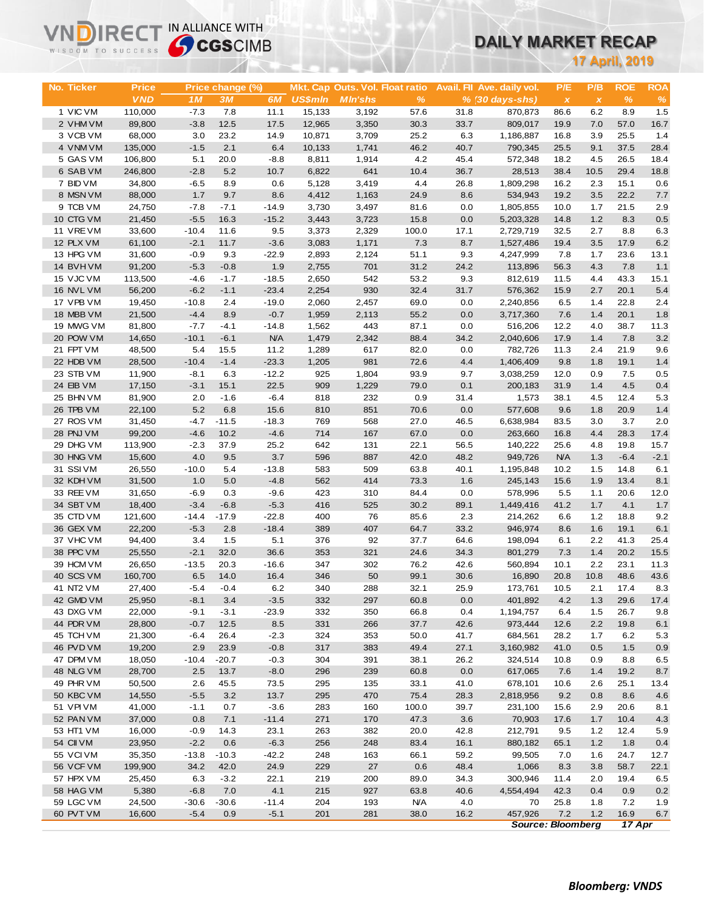# **DAILY MARKET RECAP**

| WISDOM TO SUCCESS      |                  | <b>Sy CGS</b> CIMB |                  |                  |                | DAILY MARKET RECAP              |                    |             |                             |              |                |                       |                |
|------------------------|------------------|--------------------|------------------|------------------|----------------|---------------------------------|--------------------|-------------|-----------------------------|--------------|----------------|-----------------------|----------------|
|                        |                  |                    |                  |                  |                |                                 |                    |             |                             |              |                | <b>17 April, 2019</b> |                |
|                        |                  |                    |                  |                  |                |                                 |                    |             |                             |              |                |                       |                |
| No. Ticker             | <b>Price</b>     |                    | Price change (%) |                  |                | Mkt. Cap Outs. Vol. Float ratio |                    |             | Avail. Fil Ave. daily vol.  | P/E          | P/B            | <b>ROE</b>            | <b>ROA</b>     |
|                        | <b>VND</b>       | 1M                 | 3M               | 6M               | <b>US\$mln</b> | <b>MIn'shs</b>                  | $\%$               |             | $% (30 \, \text{days-shs})$ | $\pmb{\chi}$ | $\pmb{\times}$ | $\%$                  | $\%$           |
| 1 VIC VM               | 110,000          | $-7.3$             | 7.8              | 11.1             | 15,133         | 3,192                           | 57.6               | 31.8        | 870,873                     | 86.6         | 6.2            | 8.9                   | 1.5            |
| 2 VHM VM               | 89,800           | $-3.8$             | 12.5             | 17.5             | 12,965         | 3,350                           | 30.3               | 33.7        | 809,017                     | 19.9         | 7.0            | 57.0                  | 16.7           |
| 3 VCB VM               | 68,000           | 3.0                | 23.2             | 14.9             | 10,871         | 3,709                           | 25.2               | 6.3         | 1,186,887                   | 16.8         | 3.9            | 25.5                  | 1.4            |
| 4 VNM VM               | 135,000          | $-1.5$             | 2.1              | 6.4              | 10,133         | 1,741                           | 46.2               | 40.7        | 790,345                     | 25.5         | 9.1            | 37.5                  | 28.4           |
| 5 GAS VM               | 106,800          | 5.1                | 20.0             | $-8.8$           | 8,811          | 1,914                           | 4.2                | 45.4        | 572,348                     | 18.2         | 4.5            | 26.5                  | 18.4           |
| 6 SAB VM               | 246,800          | $-2.8$             | $5.2$            | 10.7             | 6,822          | 641                             | 10.4               | 36.7        | 28,513                      | 38.4         | 10.5           | 29.4                  | 18.8           |
| 7 BID VM<br>8 MSN VM   | 34,800           | $-6.5$             | 8.9              | 0.6              | 5,128          | 3,419                           | 4.4                | 26.8        | 1,809,298                   | 16.2<br>19.2 | 2.3            | 15.1<br>22.2          | 0.6            |
| 9 TCB VM               | 88,000<br>24,750 | 1.7<br>$-7.8$      | 9.7<br>$-7.1$    | 8.6<br>$-14.9$   | 4,412<br>3,730 | 1,163                           | 24.9               | 8.6         | 534,943                     | 10.0         | 3.5<br>1.7     | 21.5                  | 7.7<br>2.9     |
| 10 CTG VM              | 21,450           | $-5.5$             | 16.3             | $-15.2$          | 3,443          | 3,497<br>3,723                  | 81.6<br>15.8       | 0.0<br>0.0  | 1,805,855<br>5,203,328      | 14.8         | 1.2            | 8.3                   | 0.5            |
| 11 VREVM               | 33,600           | $-10.4$            | 11.6             | 9.5              | 3,373          | 2,329                           | 100.0              | 17.1        | 2,729,719                   | 32.5         | 2.7            | 8.8                   | 6.3            |
| 12 PLX VM              | 61,100           | $-2.1$             | 11.7             | $-3.6$           | 3,083          | 1,171                           | 7.3                | 8.7         | 1,527,486                   | 19.4         | 3.5            | 17.9                  | 6.2            |
| 13 HPG VM              | 31,600           | $-0.9$             | 9.3              | $-22.9$          | 2,893          | 2,124                           | 51.1               | 9.3         | 4,247,999                   | 7.8          | 1.7            | 23.6                  | 13.1           |
| 14 BVHVM               | 91,200           | $-5.3$             | $-0.8$           | 1.9              | 2,755          | 701                             | 31.2               | 24.2        | 113,896                     | 56.3         | 4.3            | 7.8                   | 1.1            |
| 15 VJC VM              | 113,500          | $-4.6$             | $-1.7$           | $-18.5$          | 2,650          | 542                             | 53.2               | 9.3         | 812,619                     | 11.5         | 4.4            | 43.3                  | 15.1           |
| 16 NVL VM              | 56,200           | $-6.2$             | $-1.1$           | $-23.4$          | 2,254          | 930                             | 32.4               | 31.7        | 576,362                     | 15.9         | 2.7            | 20.1                  | 5.4            |
| 17 VPB VM              | 19,450           | $-10.8$            | 2.4              | $-19.0$          | 2,060          | 2,457                           | 69.0               | 0.0         | 2,240,856                   | 6.5          | 1.4            | 22.8                  | 2.4            |
| 18 MBB VM              | 21,500           | $-4.4$             | 8.9              | $-0.7$           | 1,959          | 2,113                           | 55.2               | 0.0         | 3,717,360                   | 7.6          | 1.4            | 20.1                  | 1.8            |
| 19 MWG VM              | 81,800           | $-7.7$             | $-4.1$           | $-14.8$          | 1,562          | 443                             | 87.1               | 0.0         | 516,206                     | 12.2         | 4.0            | 38.7                  | 11.3           |
| 20 POW VM              | 14,650           | $-10.1$            | $-6.1$           | <b>N/A</b>       | 1,479          | 2,342                           | 88.4               | 34.2        | 2,040,606                   | 17.9         | 1.4            | 7.8                   | 3.2            |
| 21 FPT VM              | 48,500           | 5.4                | 15.5             | 11.2             | 1,289          | 617                             | 82.0               | 0.0         | 782,726                     | 11.3         | 2.4            | 21.9                  | 9.6            |
| 22 HDB VM              | 28,500           | $-10.4$            | $-1.4$           | $-23.3$          | 1,205          | 981                             | 72.6               | 4.4         | 1,406,409                   | 9.8          | 1.8            | 19.1                  | 1.4            |
| 23 STB VM              | 11,900           | $-8.1$             | 6.3              | $-12.2$          | 925            | 1,804                           | 93.9               | 9.7         | 3,038,259                   | 12.0         | 0.9            | 7.5                   | 0.5            |
| 24 EIB VM              | 17,150           | $-3.1$             | 15.1             | 22.5             | 909            | 1,229                           | 79.0               | 0.1         | 200,183                     | 31.9         | 1.4            | 4.5                   | 0.4            |
| 25 BHN VM              | 81,900           | 2.0                | $-1.6$           | $-6.4$           | 818            | 232                             | 0.9                | 31.4        | 1,573                       | 38.1         | 4.5            | 12.4                  | 5.3            |
| 26 TPB VM              | 22,100           | 5.2                | 6.8              | 15.6             | 810            | 851                             | 70.6               | 0.0         | 577,608                     | 9.6          | 1.8            | 20.9                  | 1.4            |
| 27 ROS VM              | 31,450           | $-4.7$             | $-11.5$          | $-18.3$          | 769            | 568                             | 27.0               | 46.5        | 6,638,984                   | 83.5         | 3.0            | 3.7                   | 2.0            |
| 28 PNJ VM              | 99,200           | $-4.6$             | 10.2             | $-4.6$           | 714            | 167                             | 67.0               | 0.0         | 263,660                     | 16.8         | 4.4            | 28.3                  | 17.4           |
| 29 DHG VM              | 113,900          | $-2.3$             | 37.9             | 25.2             | 642            | 131                             | 22.1               | 56.5        | 140,222                     | 25.6         | 4.8            | 19.8                  | 15.7           |
| 30 HNG VM              | 15,600           | 4.0                | 9.5              | 3.7              | 596            | 887                             | 42.0               | 48.2        | 949,726                     | <b>N/A</b>   | 1.3            | $-6.4$                | $-2.1$         |
| 31 SSIVM               | 26,550           | $-10.0$            | 5.4              | $-13.8$          | 583            | 509                             | 63.8               | 40.1        | 1,195,848                   | 10.2         | 1.5            | 14.8                  | 6.1            |
| 32 KDH VM              | 31,500           | 1.0                | 5.0              | $-4.8$           | 562            | 414                             | 73.3               | 1.6         | 245,143                     | 15.6         | 1.9            | 13.4<br>20.6          | 8.1            |
| 33 REE VM<br>34 SBT VM | 31,650<br>18,400 | $-6.9$<br>$-3.4$   | 0.3<br>$-6.8$    | $-9.6$<br>$-5.3$ | 423<br>416     | 310<br>525                      | 84.4<br>30.2       | 0.0<br>89.1 | 578,996<br>1,449,416        | 5.5<br>41.2  | 1.1<br>1.7     | 4.1                   | 12.0<br>1.7    |
| 35 CTD VM              | 121,600          | $-14.4$            | $-17.9$          | $-22.8$          | 400            | 76                              | 85.6               | 2.3         | 214,262                     | 6.6          | 1.2            | 18.8                  | 9.2            |
| 36 GEX VM              | 22,200           | $-5.3$             | 2.8              | $-18.4$          | 389            | 407                             | 64.7               | 33.2        | 946,974                     | 8.6          | 1.6            | 19.1                  | 6.1            |
| 37 VHC VM              | 94,400           | 3.4                | 1.5              | 5.1              | 376            | 92                              | 37.7               | 64.6        | 198,094                     | 6.1          | 2.2            | 41.3                  | 25.4           |
| 38 PPC VM              | 25,550           | $-2.1$             | 32.0             | 36.6             | 353            | 321                             | 24.6               | 34.3        | 801,279                     | 7.3          | 1.4            | 20.2                  | 15.5           |
| 39 HCM VM              | 26,650           | $-13.5$            | 20.3             | $-16.6$          | 347            | 302                             | 76.2               | 42.6        | 560,894                     | 10.1         | 2.2            | 23.1                  | 11.3           |
| 40 SCS VM              | 160,700          | 6.5                | 14.0             | 16.4             | 346            | 50                              | 99.1               | 30.6        | 16,890                      | 20.8         | 10.8           | 48.6                  | 43.6           |
| 41 NT2 VM              | 27,400           | $-5.4$             | $-0.4$           | 6.2              | 340            | 288                             | 32.1               | 25.9        | 173,761                     | 10.5         | 2.1            | 17.4                  | 8.3            |
| 42 GMD VM              | 25,950           | $-8.1$             | 3.4              | $-3.5$           | 332            | 297                             | 60.8               | 0.0         | 401,892                     | 4.2          | 1.3            | 29.6                  | 17.4           |
| 43 DXG VM              | 22,000           | $-9.1$             | $-3.1$           | $-23.9$          | 332            | 350                             | 66.8               | 0.4         | 1,194,757                   | 6.4          | 1.5            | 26.7                  | 9.8            |
| 44 PDR VM              | 28,800           | $-0.7$             | 12.5             | 8.5              | 331            | 266                             | 37.7               | 42.6        | 973,444                     | 12.6         | 2.2            | 19.8                  | 6.1            |
| 45 TCH VM              | 21,300           | $-6.4$             | 26.4             | $-2.3$           | 324            | 353                             | 50.0               | 41.7        | 684,561                     | 28.2         | 1.7            | 6.2                   | 5.3            |
| 46 PVD VM              | 19,200           | 2.9                | 23.9             | $-0.8$           | 317            | 383                             | 49.4               | 27.1        | 3,160,982                   | 41.0         | 0.5            | $1.5$                 | 0.9            |
| 47 DPM VM              | 18,050           | $-10.4$            | $-20.7$          | $-0.3$           | 304            | 391                             | 38.1               | 26.2        | 324,514                     | 10.8         | 0.9            | 8.8                   | 6.5            |
| 48 NLG VM              | 28,700           | 2.5                | 13.7             | $-8.0$           | 296            | 239                             | 60.8               | 0.0         | 617,065                     | 7.6          | 1.4            | 19.2                  | 8.7            |
| 49 PHR VM              | 50,500           | 2.6                | 45.5             | 73.5             | 295            | 135                             | 33.1               | 41.0        | 678,101                     | 10.6         | 2.6            | 25.1                  | 13.4           |
| 50 KBC VM              | 14,550           | $-5.5$             | 3.2              | 13.7             | 295            | 470                             | 75.4               | 28.3        | 2,818,956                   | 9.2          | 0.8            | 8.6                   | 4.6            |
| 51 VPI VM              | 41,000           | $-1.1$             | 0.7              | $-3.6$           | 283            | 160                             | 100.0              | 39.7        | 231,100                     | 15.6         | 2.9            | 20.6                  | 8.1            |
| 52 PAN VM              | 37,000           | 0.8                | 7.1              | $-11.4$          | 271            | 170                             | 47.3               | 3.6         | 70,903                      | 17.6         | 1.7            | 10.4                  | 4.3            |
| 53 HT1 VM              | 16,000           | $-0.9$             | 14.3             | 23.1             | 263            | 382                             | 20.0               | 42.8        | 212,791                     | 9.5          | $1.2$          | 12.4                  | 5.9            |
| 54 CII VM              | 23,950           | $-2.2$             | 0.6              | $-6.3$           | 256            | 248                             | 83.4               | 16.1        | 880,182                     | 65.1         | 1.2            | 1.8                   | 0.4            |
| 55 VCIVM               | 35,350           | $-13.8$            | $-10.3$          | $-42.2$          | 248            | 163                             | 66.1               | 59.2        | 99,505                      | 7.0          | 1.6            | 24.7                  | 12.7           |
| 56 VCF VM              | 199,900          | 34.2               | 42.0             | 24.9             | 229            | 27                              | 0.6                | 48.4        | 1,066                       | 8.3          | 3.8            | 58.7                  | 22.1           |
| 57 HPX VM              | 25,450           | 6.3                | $-3.2$           | 22.1             | 219            | 200                             | 89.0               | 34.3        | 300,946                     | 11.4         | 2.0            | 19.4                  | 6.5            |
| 58 HAG VM<br>59 LGC VM | 5,380<br>24,500  | $-6.8$<br>$-30.6$  | 7.0<br>$-30.6$   | 4.1<br>$-11.4$   | 215<br>204     | 927<br>193                      | 63.8<br><b>N/A</b> | 40.6<br>4.0 | 4,554,494<br>70             | 42.3         | 0.4            | 0.9<br>7.2            | 0.2            |
| 60 PVT VM              | 16,600           | $-5.4$             | 0.9              | $-5.1$           | 201            | 281                             | 38.0               | 16.2        | 457,926                     | 25.8<br>7.2  | 1.8<br>1.2     | 16.9                  | 1.9<br>$6.7\,$ |
|                        |                  |                    |                  |                  |                |                                 |                    |             | <b>Source: Bloomberg</b>    |              |                | 17 Apr                |                |

**VNDIRECT IN ALLIANCE WITH**